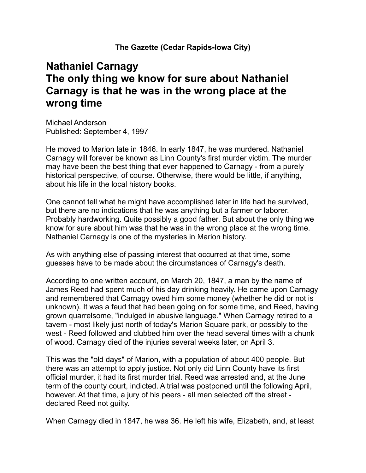**The Gazette (Cedar Rapids-Iowa City)**

## **Nathaniel Carnagy The only thing we know for sure about Nathaniel Carnagy is that he was in the wrong place at the wrong time**

Michael Anderson Published: September 4, 1997

He moved to Marion late in 1846. In early 1847, he was murdered. Nathaniel Carnagy will forever be known as Linn County's first murder victim. The murder may have been the best thing that ever happened to Carnagy - from a purely historical perspective, of course. Otherwise, there would be little, if anything, about his life in the local history books.

One cannot tell what he might have accomplished later in life had he survived, but there are no indications that he was anything but a farmer or laborer. Probably hardworking. Quite possibly a good father. But about the only thing we know for sure about him was that he was in the wrong place at the wrong time. Nathaniel Carnagy is one of the mysteries in Marion history.

As with anything else of passing interest that occurred at that time, some guesses have to be made about the circumstances of Carnagy's death.

According to one written account, on March 20, 1847, a man by the name of James Reed had spent much of his day drinking heavily. He came upon Carnagy and remembered that Carnagy owed him some money (whether he did or not is unknown). It was a feud that had been going on for some time, and Reed, having grown quarrelsome, "indulged in abusive language." When Carnagy retired to a tavern - most likely just north of today's Marion Square park, or possibly to the west - Reed followed and clubbed him over the head several times with a chunk of wood. Carnagy died of the injuries several weeks later, on April 3.

This was the "old days" of Marion, with a population of about 400 people. But there was an attempt to apply justice. Not only did Linn County have its first official murder, it had its first murder trial. Reed was arrested and, at the June term of the county court, indicted. A trial was postponed until the following April, however. At that time, a jury of his peers - all men selected off the street declared Reed not guilty.

When Carnagy died in 1847, he was 36. He left his wife, Elizabeth, and, at least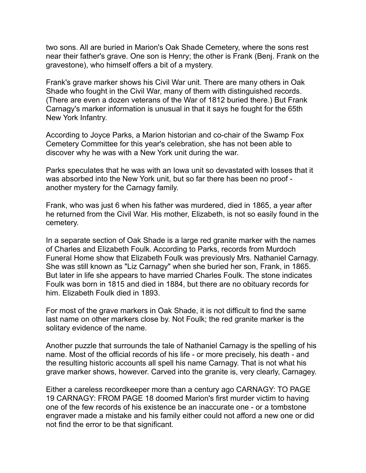two sons. All are buried in Marion's Oak Shade Cemetery, where the sons rest near their father's grave. One son is Henry; the other is Frank (Benj. Frank on the gravestone), who himself offers a bit of a mystery.

Frank's grave marker shows his Civil War unit. There are many others in Oak Shade who fought in the Civil War, many of them with distinguished records. (There are even a dozen veterans of the War of 1812 buried there.) But Frank Carnagy's marker information is unusual in that it says he fought for the 65th New York Infantry.

According to Joyce Parks, a Marion historian and co-chair of the Swamp Fox Cemetery Committee for this year's celebration, she has not been able to discover why he was with a New York unit during the war.

Parks speculates that he was with an Iowa unit so devastated with losses that it was absorbed into the New York unit, but so far there has been no proof another mystery for the Carnagy family.

Frank, who was just 6 when his father was murdered, died in 1865, a year after he returned from the Civil War. His mother, Elizabeth, is not so easily found in the cemetery.

In a separate section of Oak Shade is a large red granite marker with the names of Charles and Elizabeth Foulk. According to Parks, records from Murdoch Funeral Home show that Elizabeth Foulk was previously Mrs. Nathaniel Carnagy. She was still known as "Liz Carnagy" when she buried her son, Frank, in 1865. But later in life she appears to have married Charles Foulk. The stone indicates Foulk was born in 1815 and died in 1884, but there are no obituary records for him. Elizabeth Foulk died in 1893.

For most of the grave markers in Oak Shade, it is not difficult to find the same last name on other markers close by. Not Foulk; the red granite marker is the solitary evidence of the name.

Another puzzle that surrounds the tale of Nathaniel Carnagy is the spelling of his name. Most of the official records of his life - or more precisely, his death - and the resulting historic accounts all spell his name Carnagy. That is not what his grave marker shows, however. Carved into the granite is, very clearly, Carnagey.

Either a careless recordkeeper more than a century ago CARNAGY: TO PAGE 19 CARNAGY: FROM PAGE 18 doomed Marion's first murder victim to having one of the few records of his existence be an inaccurate one - or a tombstone engraver made a mistake and his family either could not afford a new one or did not find the error to be that significant.